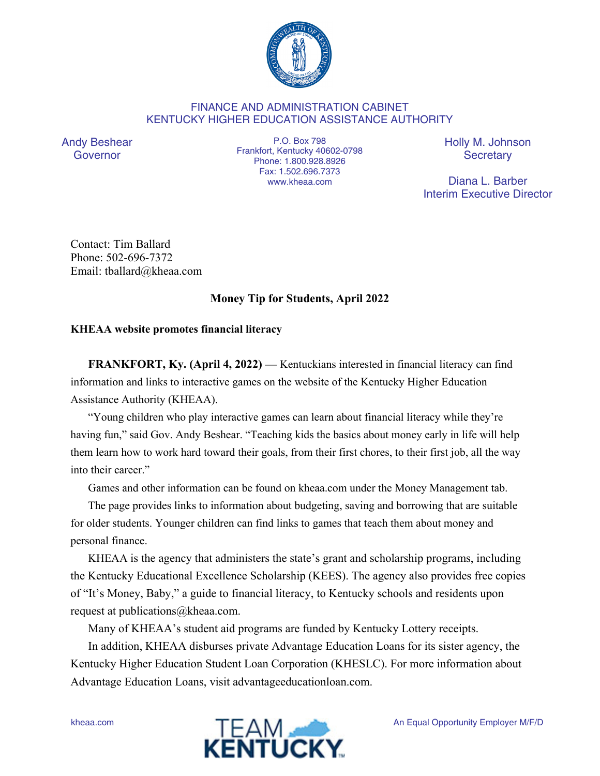

## FINANCE AND ADMINISTRATION CABINET KENTUCKY HIGHER EDUCATION ASSISTANCE AUTHORITY

Andy Beshear Governor

P.O. Box 798 Frankfort, Kentucky 40602-0798 Phone: 1.800.928.8926 Fax: 1.502.696.7373 www.kheaa.com

Holly M. Johnson **Secretary** 

Diana L. Barber Interim Executive Director

Contact: Tim Ballard Phone: 502-696-7372 Email: tballard@kheaa.com

## **Money Tip for Students, April 2022**

## **KHEAA website promotes financial literacy**

**FRANKFORT, Ky. (April 4, 2022) —** Kentuckians interested in financial literacy can find information and links to interactive games on the website of the Kentucky Higher Education Assistance Authority (KHEAA).

"Young children who play interactive games can learn about financial literacy while they're having fun," said Gov. Andy Beshear. "Teaching kids the basics about money early in life will help them learn how to work hard toward their goals, from their first chores, to their first job, all the way into their career."

Games and other information can be found on kheaa.com under the Money Management tab.

The page provides links to information about budgeting, saving and borrowing that are suitable for older students. Younger children can find links to games that teach them about money and personal finance.

KHEAA is the agency that administers the state's grant and scholarship programs, including the Kentucky Educational Excellence Scholarship (KEES). The agency also provides free copies of "It's Money, Baby," a guide to financial literacy, to Kentucky schools and residents upon request at publications@kheaa.com.

Many of KHEAA's student aid programs are funded by Kentucky Lottery receipts.

In addition, KHEAA disburses private Advantage Education Loans for its sister agency, the Kentucky Higher Education Student Loan Corporation (KHESLC). For more information about Advantage Education Loans, visit advantageeducationloan.com.